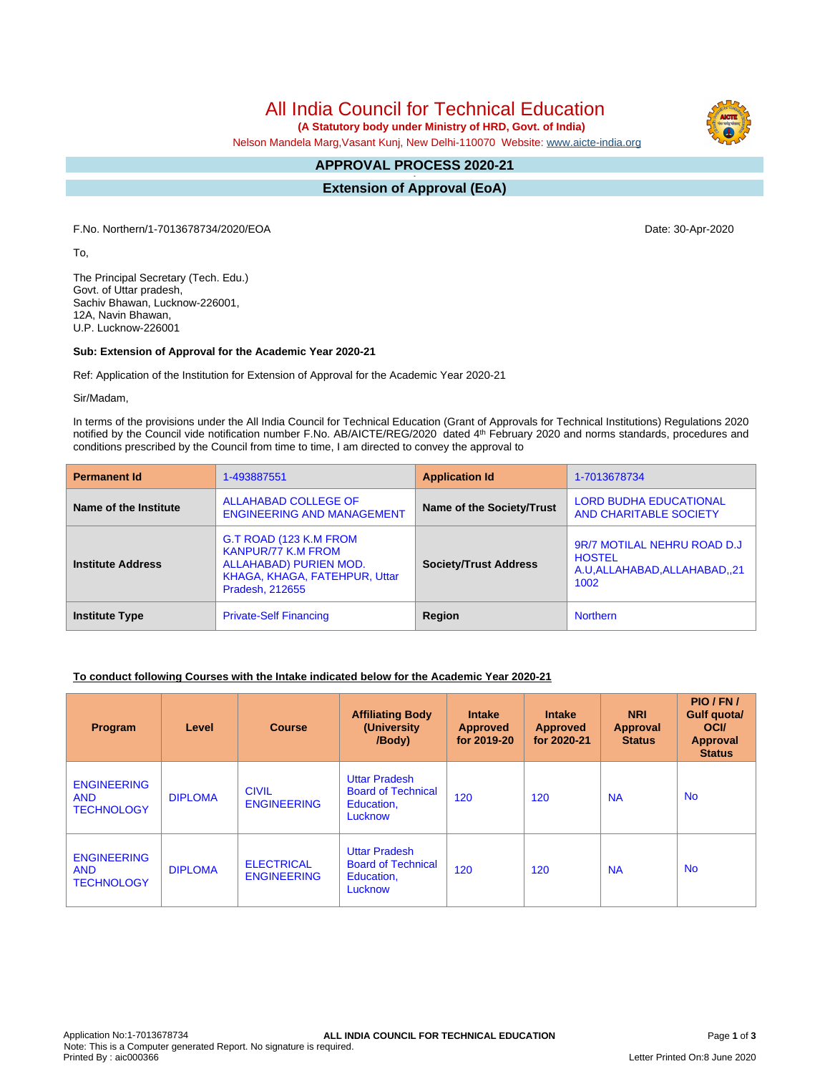# All India Council for Technical Education

 **(A Statutory body under Ministry of HRD, Govt. of India)**

Nelson Mandela Marg,Vasant Kunj, New Delhi-110070 Website: www.aicte-india.org

#### **APPROVAL PROCESS 2020-21 -**

**Extension of Approval (EoA)**

F.No. Northern/1-7013678734/2020/EOA Date: 30-Apr-2020

To,

The Principal Secretary (Tech. Edu.) Govt. of Uttar pradesh, Sachiv Bhawan, Lucknow-226001, 12A, Navin Bhawan, U.P. Lucknow-226001

#### **Sub: Extension of Approval for the Academic Year 2020-21**

Ref: Application of the Institution for Extension of Approval for the Academic Year 2020-21

Sir/Madam,

In terms of the provisions under the All India Council for Technical Education (Grant of Approvals for Technical Institutions) Regulations 2020 notified by the Council vide notification number F.No. AB/AICTE/REG/2020 dated 4<sup>th</sup> February 2020 and norms standards, procedures and conditions prescribed by the Council from time to time, I am directed to convey the approval to

| <b>Permanent Id</b>      | 1-493887551                                                                                                                       | <b>Application Id</b>        | 1-7013678734                                                                          |  |
|--------------------------|-----------------------------------------------------------------------------------------------------------------------------------|------------------------------|---------------------------------------------------------------------------------------|--|
| Name of the Institute    | ALLAHABAD COLLEGE OF<br><b>ENGINEERING AND MANAGEMENT</b>                                                                         | Name of the Society/Trust    | <b>LORD BUDHA EDUCATIONAL</b><br>AND CHARITABLE SOCIETY                               |  |
| <b>Institute Address</b> | G.T ROAD (123 K.M FROM<br><b>KANPUR/77 K.M FROM</b><br>ALLAHABAD) PURIEN MOD.<br>KHAGA, KHAGA, FATEHPUR, Uttar<br>Pradesh, 212655 | <b>Society/Trust Address</b> | 9R/7 MOTILAL NEHRU ROAD D.J<br><b>HOSTEL</b><br>A.U.ALLAHABAD, ALLAHABAD, .21<br>1002 |  |
| <b>Institute Type</b>    | <b>Private-Self Financing</b>                                                                                                     | Region                       | <b>Northern</b>                                                                       |  |

#### **To conduct following Courses with the Intake indicated below for the Academic Year 2020-21**

| Program                                               | Level          | <b>Course</b>                           | <b>Affiliating Body</b><br>(University<br>/Body)                           | <b>Intake</b><br><b>Approved</b><br>for 2019-20 | <b>Intake</b><br><b>Approved</b><br>for 2020-21 | <b>NRI</b><br><b>Approval</b><br><b>Status</b> | PIO/FN/<br>Gulf quota/<br><b>OCI</b><br><b>Approval</b><br><b>Status</b> |
|-------------------------------------------------------|----------------|-----------------------------------------|----------------------------------------------------------------------------|-------------------------------------------------|-------------------------------------------------|------------------------------------------------|--------------------------------------------------------------------------|
| <b>ENGINEERING</b><br><b>AND</b><br><b>TECHNOLOGY</b> | <b>DIPLOMA</b> | <b>CIVIL</b><br><b>ENGINEERING</b>      | <b>Uttar Pradesh</b><br><b>Board of Technical</b><br>Education,<br>Lucknow | 120                                             | 120                                             | <b>NA</b>                                      | <b>No</b>                                                                |
| <b>ENGINEERING</b><br><b>AND</b><br><b>TECHNOLOGY</b> | <b>DIPLOMA</b> | <b>ELECTRICAL</b><br><b>ENGINEERING</b> | <b>Uttar Pradesh</b><br><b>Board of Technical</b><br>Education,<br>Lucknow | 120                                             | 120                                             | <b>NA</b>                                      | <b>No</b>                                                                |

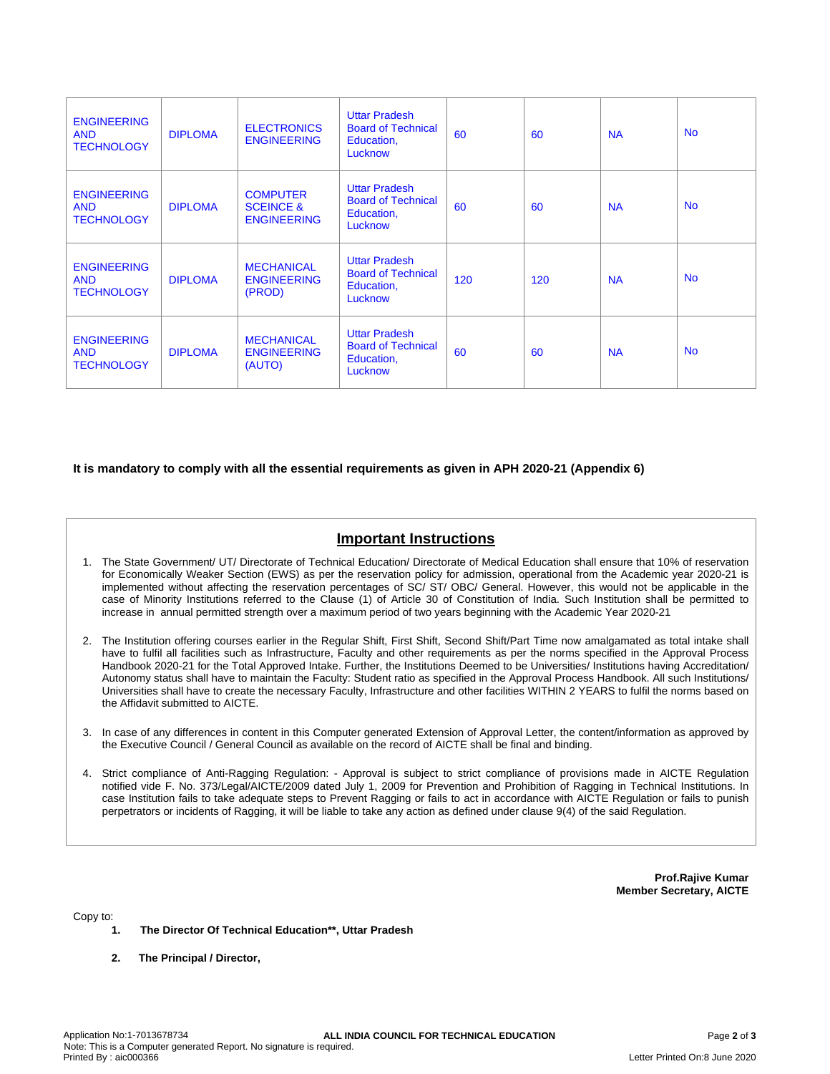| <b>ENGINEERING</b><br><b>AND</b><br><b>TECHNOLOGY</b> | <b>DIPLOMA</b> | <b>ELECTRONICS</b><br><b>ENGINEERING</b>                      | <b>Uttar Pradesh</b><br><b>Board of Technical</b><br>Education,<br>Lucknow | 60  | 60  | <b>NA</b> | <b>No</b> |
|-------------------------------------------------------|----------------|---------------------------------------------------------------|----------------------------------------------------------------------------|-----|-----|-----------|-----------|
| <b>ENGINEERING</b><br><b>AND</b><br><b>TECHNOLOGY</b> | <b>DIPLOMA</b> | <b>COMPUTER</b><br><b>SCEINCE &amp;</b><br><b>ENGINEERING</b> | <b>Uttar Pradesh</b><br><b>Board of Technical</b><br>Education,<br>Lucknow | 60  | 60  | <b>NA</b> | <b>No</b> |
| <b>ENGINEERING</b><br><b>AND</b><br><b>TECHNOLOGY</b> | <b>DIPLOMA</b> | <b>MECHANICAL</b><br><b>ENGINEERING</b><br>(PROD)             | <b>Uttar Pradesh</b><br><b>Board of Technical</b><br>Education,<br>Lucknow | 120 | 120 | <b>NA</b> | <b>No</b> |
| <b>ENGINEERING</b><br><b>AND</b><br><b>TECHNOLOGY</b> | <b>DIPLOMA</b> | <b>MECHANICAL</b><br><b>ENGINEERING</b><br>(AUTO)             | <b>Uttar Pradesh</b><br><b>Board of Technical</b><br>Education,<br>Lucknow | 60  | 60  | <b>NA</b> | <b>No</b> |

**It is mandatory to comply with all the essential requirements as given in APH 2020-21 (Appendix 6)**

## **Important Instructions**

- 1. The State Government/ UT/ Directorate of Technical Education/ Directorate of Medical Education shall ensure that 10% of reservation for Economically Weaker Section (EWS) as per the reservation policy for admission, operational from the Academic year 2020-21 is implemented without affecting the reservation percentages of SC/ ST/ OBC/ General. However, this would not be applicable in the case of Minority Institutions referred to the Clause (1) of Article 30 of Constitution of India. Such Institution shall be permitted to increase in annual permitted strength over a maximum period of two years beginning with the Academic Year 2020-21
- 2. The Institution offering courses earlier in the Regular Shift, First Shift, Second Shift/Part Time now amalgamated as total intake shall have to fulfil all facilities such as Infrastructure, Faculty and other requirements as per the norms specified in the Approval Process Handbook 2020-21 for the Total Approved Intake. Further, the Institutions Deemed to be Universities/ Institutions having Accreditation/ Autonomy status shall have to maintain the Faculty: Student ratio as specified in the Approval Process Handbook. All such Institutions/ Universities shall have to create the necessary Faculty, Infrastructure and other facilities WITHIN 2 YEARS to fulfil the norms based on the Affidavit submitted to AICTE.
- 3. In case of any differences in content in this Computer generated Extension of Approval Letter, the content/information as approved by the Executive Council / General Council as available on the record of AICTE shall be final and binding.
- 4. Strict compliance of Anti-Ragging Regulation: Approval is subject to strict compliance of provisions made in AICTE Regulation notified vide F. No. 373/Legal/AICTE/2009 dated July 1, 2009 for Prevention and Prohibition of Ragging in Technical Institutions. In case Institution fails to take adequate steps to Prevent Ragging or fails to act in accordance with AICTE Regulation or fails to punish perpetrators or incidents of Ragging, it will be liable to take any action as defined under clause 9(4) of the said Regulation.

**Prof.Rajive Kumar Member Secretary, AICTE**

Copy to:

- **1. The Director Of Technical Education\*\*, Uttar Pradesh**
- **2. The Principal / Director,**